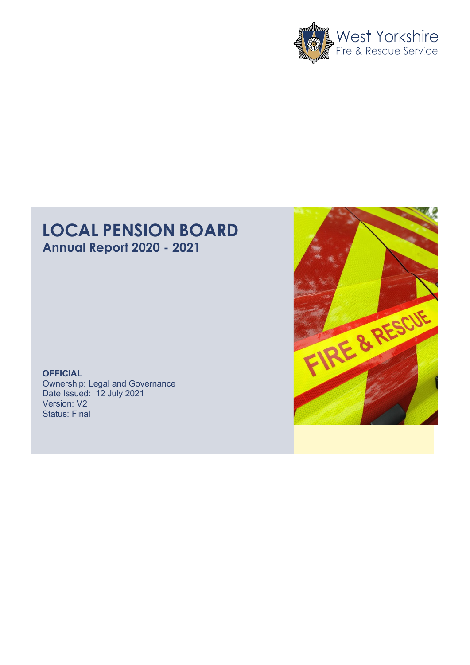

# **LOCAL PENSION BOARD Annual Report 2020 - 2021**

**OFFICIAL** Ownership: Legal and Governance Date Issued: 12 July 2021 Version: V2 Status: Final

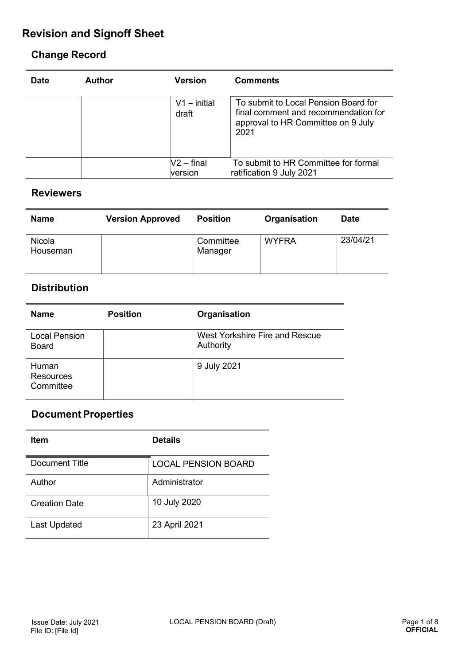# **Revision and Signoff Sheet**

### **Change Record**

| <b>Date</b> | <b>Author</b> | <b>Version</b>          | <b>Comments</b>                                                                                                            |
|-------------|---------------|-------------------------|----------------------------------------------------------------------------------------------------------------------------|
|             |               | $V1 - initial$<br>draft | To submit to Local Pension Board for<br>final comment and recommendation for<br>approval to HR Committee on 9 July<br>2021 |
|             |               | $V2 - final$            | To submit to HR Committee for formal                                                                                       |
|             |               | version                 | ratification 9 July 2021                                                                                                   |

#### **Reviewers**

| <b>Name</b>        | <b>Version Approved</b> | <b>Position</b>      | Organisation | <b>Date</b> |
|--------------------|-------------------------|----------------------|--------------|-------------|
| Nicola<br>Houseman |                         | Committee<br>Manager | <b>WYFRA</b> | 23/04/21    |

### **Distribution**

| <b>Name</b>                          | <b>Position</b> | Organisation                                |
|--------------------------------------|-----------------|---------------------------------------------|
| <b>Local Pension</b><br><b>Board</b> |                 | West Yorkshire Fire and Rescue<br>Authority |
| Human<br>Resources<br>Committee      |                 | 9 July 2021                                 |

# **Document Properties**

| <b>Item</b>         | <b>Details</b>      |
|---------------------|---------------------|
| Document Title      | LOCAL PENSION BOARD |
| Author              | Administrator       |
| Creation Date       | 10 July 2020        |
| <b>Last Updated</b> | 23 April 2021       |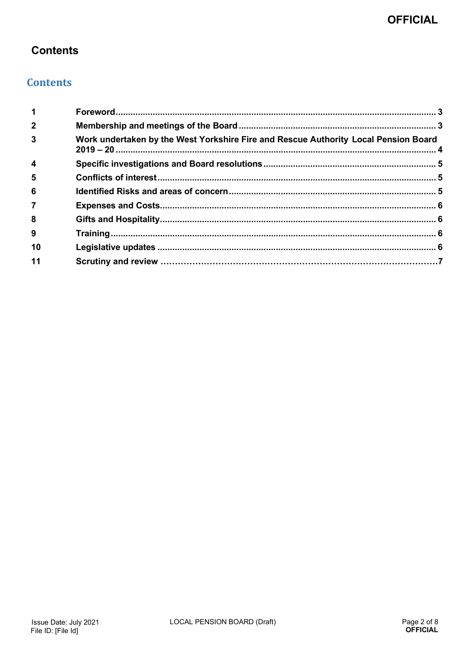# **Contents**

### **Contents**

| $\overline{\mathbf{1}}$ |                                                                                     |  |
|-------------------------|-------------------------------------------------------------------------------------|--|
| $\overline{2}$          |                                                                                     |  |
| $\mathbf{3}$            | Work undertaken by the West Yorkshire Fire and Rescue Authority Local Pension Board |  |
| $\overline{\mathbf{4}}$ |                                                                                     |  |
| $5\phantom{1}$          |                                                                                     |  |
| 6                       |                                                                                     |  |
| $\overline{7}$          |                                                                                     |  |
| 8                       |                                                                                     |  |
| 9                       |                                                                                     |  |
| 10                      |                                                                                     |  |
| 11                      |                                                                                     |  |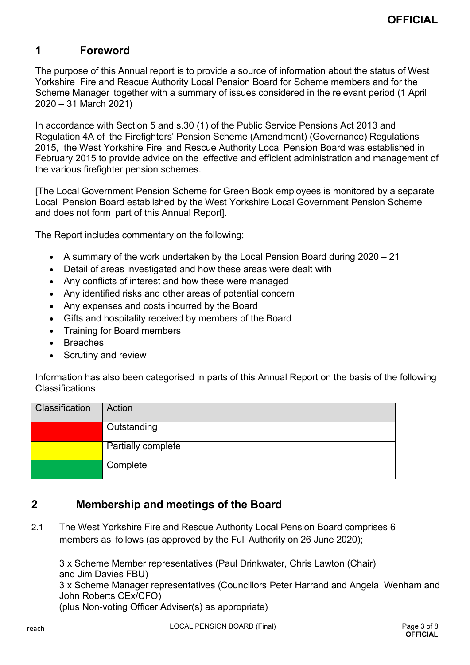# <span id="page-3-0"></span>**1 Foreword**

The purpose of this Annual report is to provide a source of information about the status of West Yorkshire Fire and Rescue Authority Local Pension Board for Scheme members and for the Scheme Manager together with a summary of issues considered in the relevant period (1 April 2020 – 31 March 2021)

In accordance with Section 5 and s.30 (1) of the Public Service Pensions Act 2013 and Regulation 4A of the Firefighters' Pension Scheme (Amendment) (Governance) Regulations 2015, the West Yorkshire Fire and Rescue Authority Local Pension Board was established in February 2015 to provide advice on the effective and efficient administration and management of the various firefighter pension schemes.

[The Local Government Pension Scheme for Green Book employees is monitored by a separate Local Pension Board established by the West Yorkshire Local Government Pension Scheme and does not form part of this Annual Report].

The Report includes commentary on the following;

- A summary of the work undertaken by the Local Pension Board during 2020 21
- Detail of areas investigated and how these areas were dealt with
- Any conflicts of interest and how these were managed
- Any identified risks and other areas of potential concern
- Any expenses and costs incurred by the Board
- Gifts and hospitality received by members of the Board
- Training for Board members
- **Breaches**
- Scrutiny and review

Information has also been categorised in parts of this Annual Report on the basis of the following Classifications

| Classification | Action             |
|----------------|--------------------|
|                | Outstanding        |
|                | Partially complete |
|                | Complete           |

### <span id="page-3-1"></span>**2 Membership and meetings of the Board**

2.1 The West Yorkshire Fire and Rescue Authority Local Pension Board comprises 6 members as follows (as approved by the Full Authority on 26 June 2020);

3 x Scheme Member representatives (Paul Drinkwater, Chris Lawton (Chair) and Jim Davies FBU) 3 x Scheme Manager representatives (Councillors Peter Harrand and Angela Wenham and John Roberts CEx/CFO) (plus Non-voting Officer Adviser(s) as appropriate)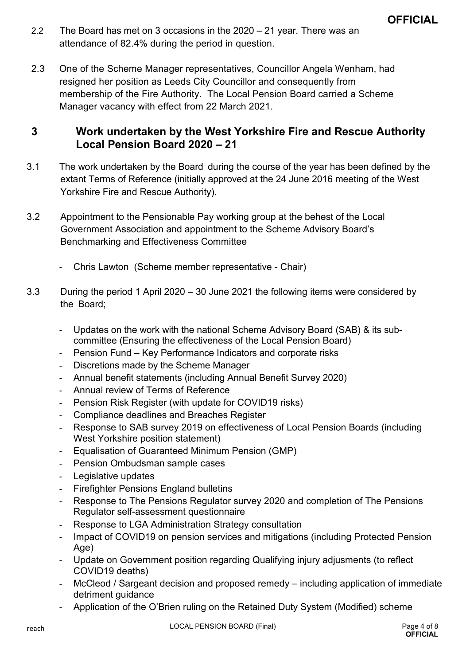- 2.2 The Board has met on 3 occasions in the 2020 21 year. There was an attendance of 82.4% during the period in question.
- 2.3 One of the Scheme Manager representatives, Councillor Angela Wenham, had resigned her position as Leeds City Councillor and consequently from membership of the Fire Authority. The Local Pension Board carried a Scheme Manager vacancy with effect from 22 March 2021.

#### <span id="page-4-0"></span>**3 Work undertaken by the West Yorkshire Fire and Rescue Authority Local Pension Board 2020 – 21**

- 3.1 The work undertaken by the Board during the course of the year has been defined by the extant Terms of Reference (initially approved at the 24 June 2016 meeting of the West Yorkshire Fire and Rescue Authority).
- 3.2 Appointment to the Pensionable Pay working group at the behest of the Local Government Association and appointment to the Scheme Advisory Board's Benchmarking and Effectiveness Committee
	- Chris Lawton (Scheme member representative Chair)
- 3.3 During the period 1 April 2020 30 June 2021 the following items were considered by the Board;
	- Updates on the work with the national Scheme Advisory Board (SAB) & its subcommittee (Ensuring the effectiveness of the Local Pension Board)
	- Pension Fund Key Performance Indicators and corporate risks
	- Discretions made by the Scheme Manager
	- Annual benefit statements (including Annual Benefit Survey 2020)
	- Annual review of Terms of Reference
	- Pension Risk Register (with update for COVID19 risks)
	- Compliance deadlines and Breaches Register
	- Response to SAB survey 2019 on effectiveness of Local Pension Boards (including West Yorkshire position statement)
	- Equalisation of Guaranteed Minimum Pension (GMP)
	- Pension Ombudsman sample cases
	- Legislative updates
	- Firefighter Pensions England bulletins
	- Response to The Pensions Regulator survey 2020 and completion of The Pensions Regulator self-assessment questionnaire
	- Response to LGA Administration Strategy consultation
	- Impact of COVID19 on pension services and mitigations (including Protected Pension Age)
	- Update on Government position regarding Qualifying injury adjusments (to reflect COVID19 deaths)
	- McCleod / Sargeant decision and proposed remedy including application of immediate detriment guidance
	- Application of the O'Brien ruling on the Retained Duty System (Modified) scheme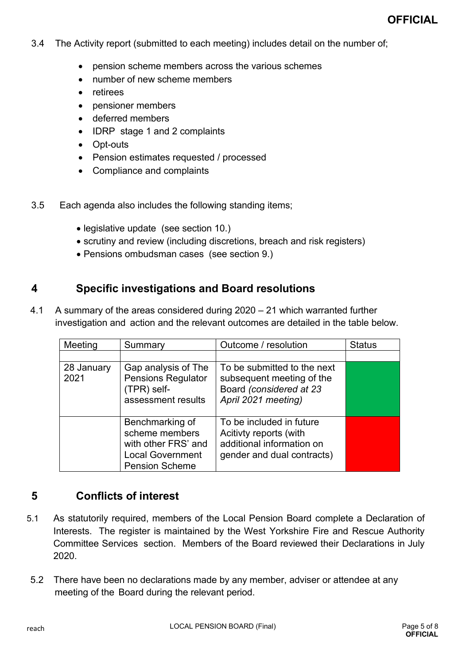- 3.4 The Activity report (submitted to each meeting) includes detail on the number of;
	- pension scheme members across the various schemes
	- number of new scheme members
	- retirees
	- pensioner members
	- deferred members
	- IDRP stage 1 and 2 complaints
	- Opt-outs
	- Pension estimates requested / processed
	- Compliance and complaints
- 3.5 Each agenda also includes the following standing items;
	- legislative update (see section 10.)
	- scrutiny and review (including discretions, breach and risk registers)
	- Pensions ombudsman cases (see section 9.)

#### <span id="page-5-0"></span>**4 Specific investigations and Board resolutions**

4.1 A summary of the areas considered during 2020 – 21 which warranted further investigation and action and the relevant outcomes are detailed in the table below.

| Meeting            | Summary                                                                                                      | Outcome / resolution                                                                                          | <b>Status</b> |
|--------------------|--------------------------------------------------------------------------------------------------------------|---------------------------------------------------------------------------------------------------------------|---------------|
|                    |                                                                                                              |                                                                                                               |               |
| 28 January<br>2021 | Gap analysis of The<br><b>Pensions Regulator</b><br>(TPR) self-<br>assessment results                        | To be submitted to the next<br>subsequent meeting of the<br>Board (considered at 23<br>April 2021 meeting)    |               |
|                    | Benchmarking of<br>scheme members<br>with other FRS' and<br><b>Local Government</b><br><b>Pension Scheme</b> | To be included in future<br>Acitivty reports (with<br>additional information on<br>gender and dual contracts) |               |

#### <span id="page-5-1"></span>**5 Conflicts of interest**

- 5.1 As statutorily required, members of the Local Pension Board complete a Declaration of Interests. The register is maintained by the West Yorkshire Fire and Rescue Authority Committee Services section. Members of the Board reviewed their Declarations in July 2020.
- 5.2 There have been no declarations made by any member, adviser or attendee at any meeting of the Board during the relevant period.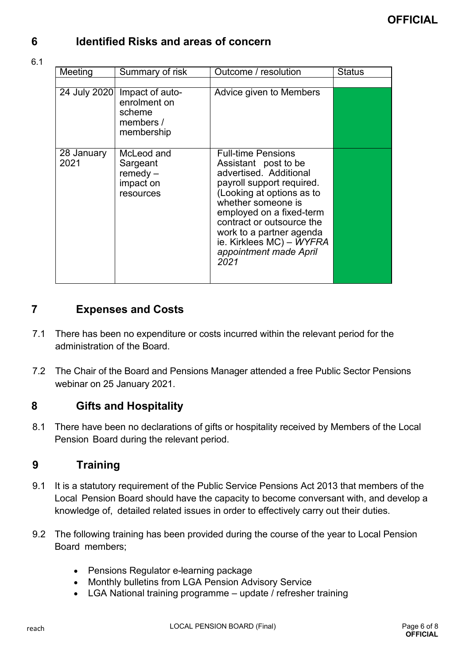# <span id="page-6-0"></span>**6 Identified Risks and areas of concern**

#### 6.1

| Meeting            | Summary of risk                                                                   | Outcome / resolution                                                                                                                                                                                                                                                                                           | <b>Status</b> |
|--------------------|-----------------------------------------------------------------------------------|----------------------------------------------------------------------------------------------------------------------------------------------------------------------------------------------------------------------------------------------------------------------------------------------------------------|---------------|
|                    |                                                                                   |                                                                                                                                                                                                                                                                                                                |               |
|                    | 24 July 2020 Impact of auto-<br>enrolment on<br>scheme<br>members /<br>membership | Advice given to Members                                                                                                                                                                                                                                                                                        |               |
| 28 January<br>2021 | McLeod and<br>Sargeant<br>$remedy -$<br>impact on<br>resources                    | <b>Full-time Pensions</b><br>Assistant post to be<br>advertised. Additional<br>payroll support required.<br>(Looking at options as to<br>whether someone is<br>employed on a fixed-term<br>contract or outsource the<br>work to a partner agenda<br>ie. Kirklees MC) - WYFRA<br>appointment made April<br>2021 |               |

### <span id="page-6-1"></span>**7 Expenses and Costs**

- 7.1 There has been no expenditure or costs incurred within the relevant period for the administration of the Board.
- 7.2 The Chair of the Board and Pensions Manager attended a free Public Sector Pensions webinar on 25 January 2021.

### <span id="page-6-2"></span>**8 Gifts and Hospitality**

8.1 There have been no declarations of gifts or hospitality received by Members of the Local Pension Board during the relevant period.

# <span id="page-6-3"></span>**9 Training**

- 9.1 It is a statutory requirement of the Public Service Pensions Act 2013 that members of the Local Pension Board should have the capacity to become conversant with, and develop a knowledge of, detailed related issues in order to effectively carry out their duties.
- 9.2 The following training has been provided during the course of the year to Local Pension Board members;
	- Pensions Regulator e-learning package
	- Monthly bulletins from LGA Pension Advisory Service
	- LGA National training programme update / refresher training